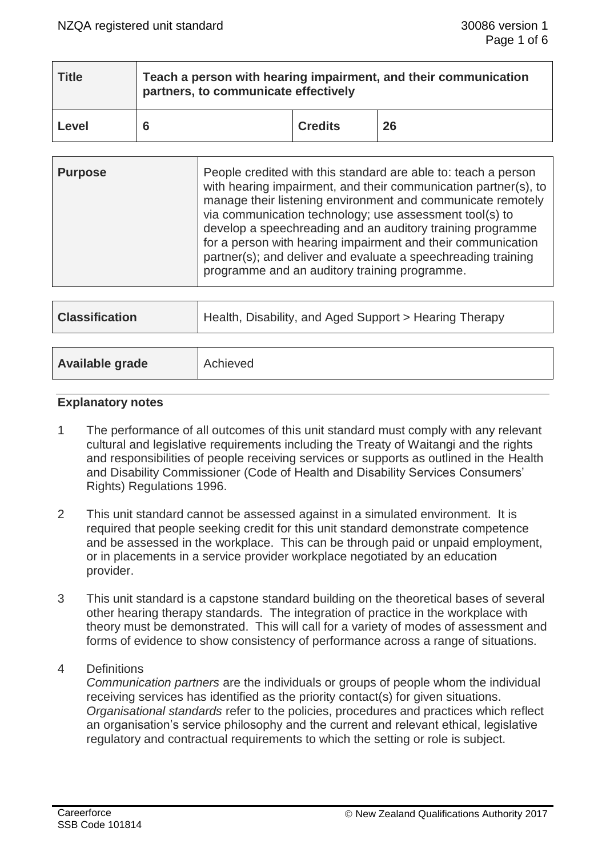| Title | Teach a person with hearing impairment, and their communication<br>partners, to communicate effectively |                |    |
|-------|---------------------------------------------------------------------------------------------------------|----------------|----|
| Level |                                                                                                         | <b>Credits</b> | 26 |

| via communication technology; use assessment tool(s) to<br>develop a speechreading and an auditory training programme<br>for a person with hearing impairment and their communication<br>partner(s); and deliver and evaluate a speechreading training<br>programme and an auditory training programme. | <b>Purpose</b> | People credited with this standard are able to: teach a person<br>with hearing impairment, and their communication partner(s), to<br>manage their listening environment and communicate remotely |
|---------------------------------------------------------------------------------------------------------------------------------------------------------------------------------------------------------------------------------------------------------------------------------------------------------|----------------|--------------------------------------------------------------------------------------------------------------------------------------------------------------------------------------------------|
|---------------------------------------------------------------------------------------------------------------------------------------------------------------------------------------------------------------------------------------------------------------------------------------------------------|----------------|--------------------------------------------------------------------------------------------------------------------------------------------------------------------------------------------------|

| <b>Classification</b>  | Health, Disability, and Aged Support > Hearing Therapy |
|------------------------|--------------------------------------------------------|
|                        |                                                        |
| <b>Available grade</b> | Achieved                                               |
|                        |                                                        |

### **Explanatory notes**

- 1 The performance of all outcomes of this unit standard must comply with any relevant cultural and legislative requirements including the Treaty of Waitangi and the rights and responsibilities of people receiving services or supports as outlined in the Health and Disability Commissioner (Code of Health and Disability Services Consumers' Rights) Regulations 1996.
- 2 This unit standard cannot be assessed against in a simulated environment. It is required that people seeking credit for this unit standard demonstrate competence and be assessed in the workplace. This can be through paid or unpaid employment, or in placements in a service provider workplace negotiated by an education provider.
- 3 This unit standard is a capstone standard building on the theoretical bases of several other hearing therapy standards. The integration of practice in the workplace with theory must be demonstrated. This will call for a variety of modes of assessment and forms of evidence to show consistency of performance across a range of situations.
- 4 Definitions

*Communication partners* are the individuals or groups of people whom the individual receiving services has identified as the priority contact(s) for given situations. *Organisational standards* refer to the policies, procedures and practices which reflect an organisation's service philosophy and the current and relevant ethical, legislative regulatory and contractual requirements to which the setting or role is subject.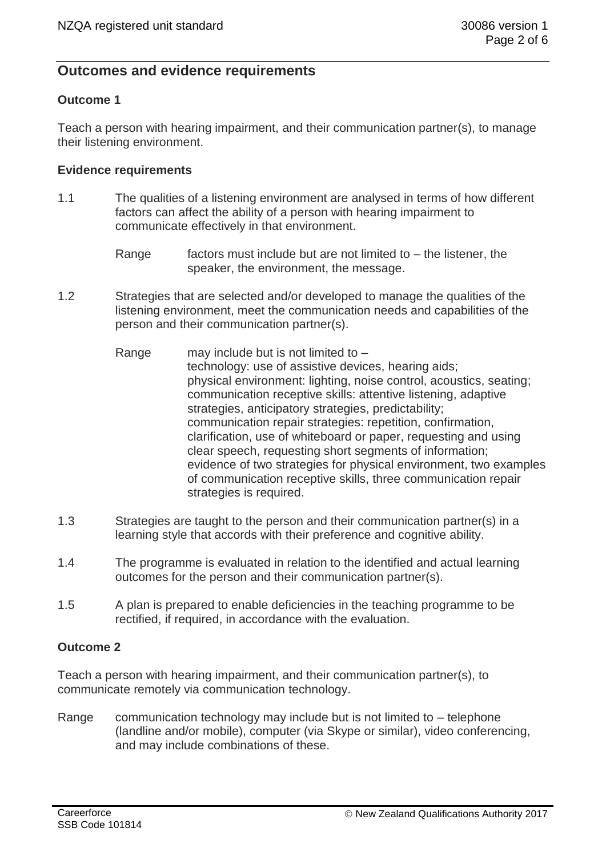# **Outcomes and evidence requirements**

### **Outcome 1**

Teach a person with hearing impairment, and their communication partner(s), to manage their listening environment.

### **Evidence requirements**

- 1.1 The qualities of a listening environment are analysed in terms of how different factors can affect the ability of a person with hearing impairment to communicate effectively in that environment.
	- Range  $\frac{1}{10}$  factors must include but are not limited to the listener, the speaker, the environment, the message.
- 1.2 Strategies that are selected and/or developed to manage the qualities of the listening environment, meet the communication needs and capabilities of the person and their communication partner(s).
	- Range may include but is not limited to technology: use of assistive devices, hearing aids; physical environment: lighting, noise control, acoustics, seating; communication receptive skills: attentive listening, adaptive strategies, anticipatory strategies, predictability; communication repair strategies: repetition, confirmation, clarification, use of whiteboard or paper, requesting and using clear speech, requesting short segments of information; evidence of two strategies for physical environment, two examples of communication receptive skills, three communication repair strategies is required.
- 1.3 Strategies are taught to the person and their communication partner(s) in a learning style that accords with their preference and cognitive ability.
- 1.4 The programme is evaluated in relation to the identified and actual learning outcomes for the person and their communication partner(s).
- 1.5 A plan is prepared to enable deficiencies in the teaching programme to be rectified, if required, in accordance with the evaluation.

### **Outcome 2**

Teach a person with hearing impairment, and their communication partner(s), to communicate remotely via communication technology.

Range communication technology may include but is not limited to – telephone (landline and/or mobile), computer (via Skype or similar), video conferencing, and may include combinations of these.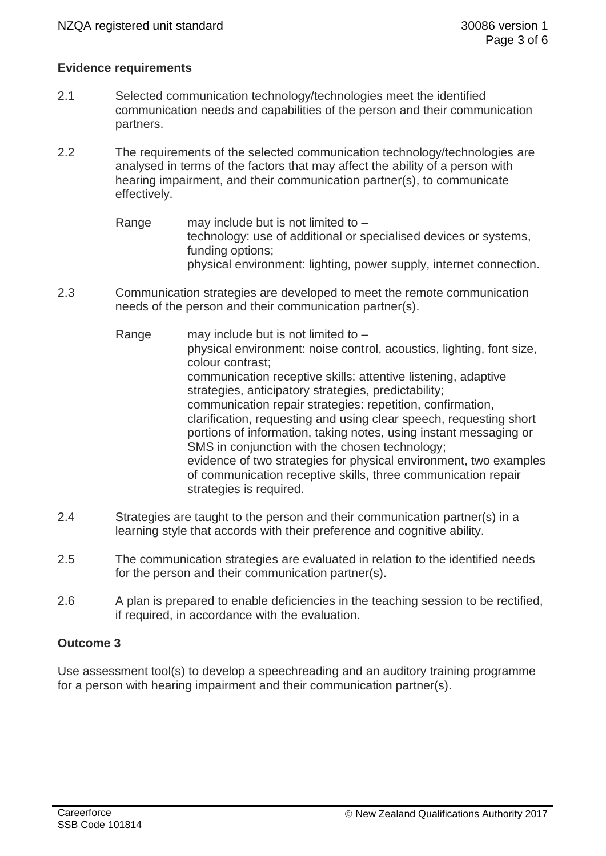### **Evidence requirements**

- 2.1 Selected communication technology/technologies meet the identified communication needs and capabilities of the person and their communication partners.
- 2.2 The requirements of the selected communication technology/technologies are analysed in terms of the factors that may affect the ability of a person with hearing impairment, and their communication partner(s), to communicate effectively.
	- Range may include but is not limited to  $$ technology: use of additional or specialised devices or systems, funding options; physical environment: lighting, power supply, internet connection.
- 2.3 Communication strategies are developed to meet the remote communication needs of the person and their communication partner(s).
	- Range may include but is not limited to  $$ physical environment: noise control, acoustics, lighting, font size, colour contrast; communication receptive skills: attentive listening, adaptive strategies, anticipatory strategies, predictability; communication repair strategies: repetition, confirmation, clarification, requesting and using clear speech, requesting short portions of information, taking notes, using instant messaging or SMS in conjunction with the chosen technology; evidence of two strategies for physical environment, two examples of communication receptive skills, three communication repair strategies is required.
- 2.4 Strategies are taught to the person and their communication partner(s) in a learning style that accords with their preference and cognitive ability.
- 2.5 The communication strategies are evaluated in relation to the identified needs for the person and their communication partner(s).
- 2.6 A plan is prepared to enable deficiencies in the teaching session to be rectified, if required, in accordance with the evaluation.

### **Outcome 3**

Use assessment tool(s) to develop a speechreading and an auditory training programme for a person with hearing impairment and their communication partner(s).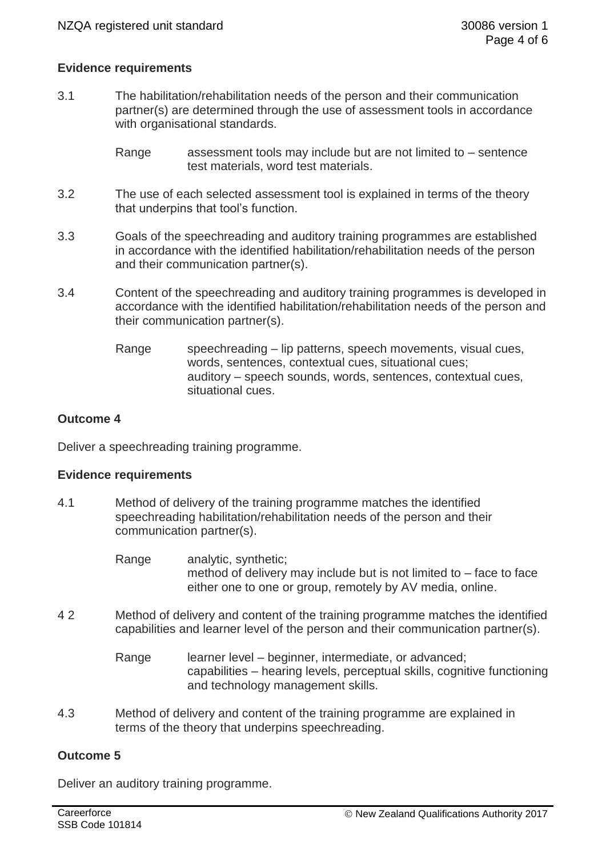### **Evidence requirements**

- 3.1 The habilitation/rehabilitation needs of the person and their communication partner(s) are determined through the use of assessment tools in accordance with organisational standards.
	- Range assessment tools may include but are not limited to sentence test materials, word test materials.
- 3.2 The use of each selected assessment tool is explained in terms of the theory that underpins that tool's function.
- 3.3 Goals of the speechreading and auditory training programmes are established in accordance with the identified habilitation/rehabilitation needs of the person and their communication partner(s).
- 3.4 Content of the speechreading and auditory training programmes is developed in accordance with the identified habilitation/rehabilitation needs of the person and their communication partner(s).
	- Range speechreading lip patterns, speech movements, visual cues, words, sentences, contextual cues, situational cues; auditory – speech sounds, words, sentences, contextual cues, situational cues.

### **Outcome 4**

Deliver a speechreading training programme.

### **Evidence requirements**

- 4.1 Method of delivery of the training programme matches the identified speechreading habilitation/rehabilitation needs of the person and their communication partner(s).
	- Range analytic, synthetic; method of delivery may include but is not limited to – face to face either one to one or group, remotely by AV media, online.
- 4 2 Method of delivery and content of the training programme matches the identified capabilities and learner level of the person and their communication partner(s).
	- Range learner level beginner, intermediate, or advanced; capabilities – hearing levels, perceptual skills, cognitive functioning and technology management skills.
- 4.3 Method of delivery and content of the training programme are explained in terms of the theory that underpins speechreading.

### **Outcome 5**

Deliver an auditory training programme.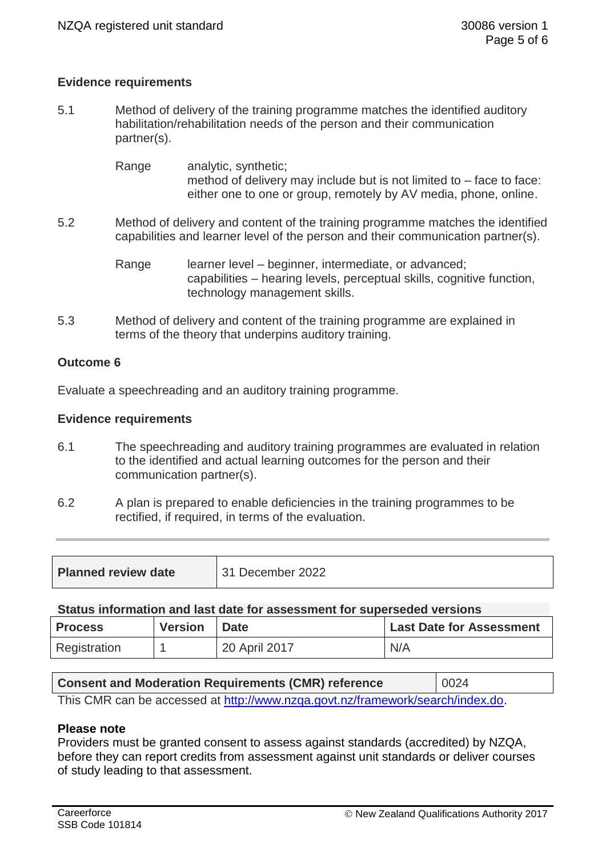## **Evidence requirements**

5.1 Method of delivery of the training programme matches the identified auditory habilitation/rehabilitation needs of the person and their communication partner(s).

> Range analytic, synthetic; method of delivery may include but is not limited to – face to face: either one to one or group, remotely by AV media, phone, online.

5.2 Method of delivery and content of the training programme matches the identified capabilities and learner level of the person and their communication partner(s).

> Range learner level – beginner, intermediate, or advanced; capabilities – hearing levels, perceptual skills, cognitive function, technology management skills.

5.3 Method of delivery and content of the training programme are explained in terms of the theory that underpins auditory training.

### **Outcome 6**

Evaluate a speechreading and an auditory training programme.

### **Evidence requirements**

- 6.1 The speechreading and auditory training programmes are evaluated in relation to the identified and actual learning outcomes for the person and their communication partner(s).
- 6.2 A plan is prepared to enable deficiencies in the training programmes to be rectified, if required, in terms of the evaluation.

| <b>Planned review date</b> | 31 December 2022 |
|----------------------------|------------------|
|----------------------------|------------------|

#### **Status information and last date for assessment for superseded versions**

| <b>Process</b> | <b>Version</b> | <b>Date</b>   | <b>Last Date for Assessment</b> |
|----------------|----------------|---------------|---------------------------------|
| Registration   |                | 20 April 2017 | N/A                             |

| <b>Consent and Moderation Requirements (CMR) reference</b>                     | 10024 |  |
|--------------------------------------------------------------------------------|-------|--|
| This CMR can be accessed at http://www.nzqa.govt.nz/framework/search/index.do. |       |  |

### **Please note**

Providers must be granted consent to assess against standards (accredited) by NZQA, before they can report credits from assessment against unit standards or deliver courses of study leading to that assessment.